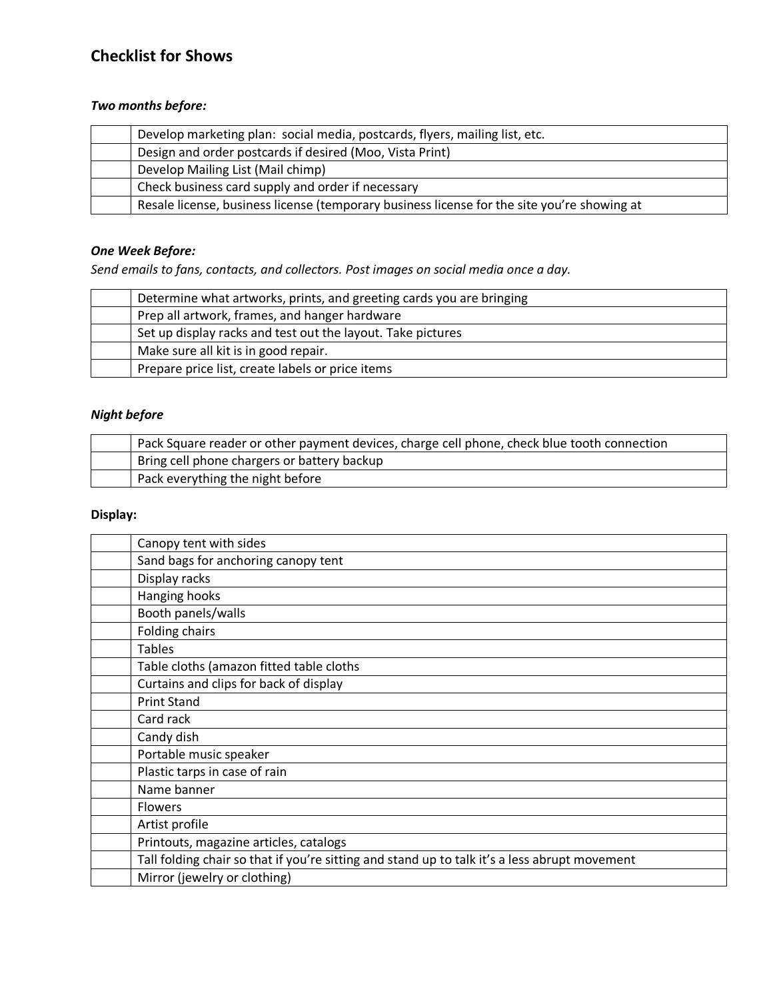# **Checklist for Shows**

## *Two months before:*

| Develop marketing plan: social media, postcards, flyers, mailing list, etc.                 |
|---------------------------------------------------------------------------------------------|
| Design and order postcards if desired (Moo, Vista Print)                                    |
| Develop Mailing List (Mail chimp)                                                           |
| Check business card supply and order if necessary                                           |
| Resale license, business license (temporary business license for the site you're showing at |

#### *One Week Before:*

*Send emails to fans, contacts, and collectors. Post images on social media once a day.*

| Determine what artworks, prints, and greeting cards you are bringing |
|----------------------------------------------------------------------|
| Prep all artwork, frames, and hanger hardware                        |
| Set up display racks and test out the layout. Take pictures          |
| Make sure all kit is in good repair.                                 |
| Prepare price list, create labels or price items                     |

## *Night before*

| Pack Square reader or other payment devices, charge cell phone, check blue tooth connection |
|---------------------------------------------------------------------------------------------|
| Bring cell phone chargers or battery backup                                                 |
| Pack everything the night before                                                            |

## **Display:**

| Canopy tent with sides                                                                        |
|-----------------------------------------------------------------------------------------------|
| Sand bags for anchoring canopy tent                                                           |
| Display racks                                                                                 |
| Hanging hooks                                                                                 |
| Booth panels/walls                                                                            |
| <b>Folding chairs</b>                                                                         |
| <b>Tables</b>                                                                                 |
| Table cloths (amazon fitted table cloths                                                      |
| Curtains and clips for back of display                                                        |
| <b>Print Stand</b>                                                                            |
| Card rack                                                                                     |
| Candy dish                                                                                    |
| Portable music speaker                                                                        |
| Plastic tarps in case of rain                                                                 |
| Name banner                                                                                   |
| <b>Flowers</b>                                                                                |
| Artist profile                                                                                |
| Printouts, magazine articles, catalogs                                                        |
| Tall folding chair so that if you're sitting and stand up to talk it's a less abrupt movement |
| Mirror (jewelry or clothing)                                                                  |